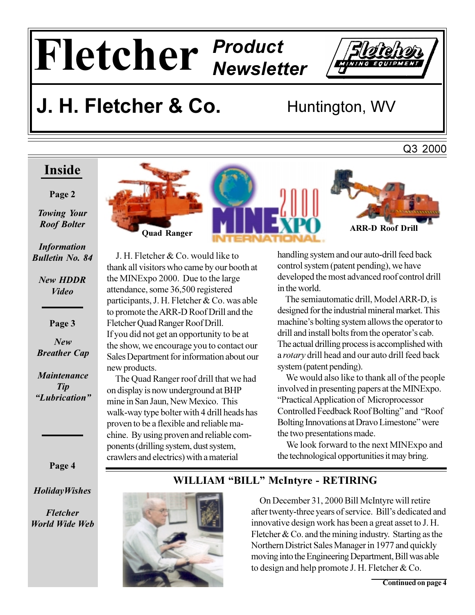# Fletcher Product



## J. H. Fletcher & Co.

Huntington, WV

#### Inside

#### Page 2

**Towing Your Roof Bolter** 

**Information Bulletin No. 84** 

**New HDDR Video** 

Page 3

 $New$ **Breather Cap** 

**Maintenance Tip** "Lubrication"



J. H. Fletcher & Co. would like to thank all visitors who came by our booth at the MINExpo 2000. Due to the large attendance, some 36,500 registered participants, J. H. Fletcher & Co. was able to promote the ARR-D Roof Drill and the Fletcher Quad Ranger Roof Drill. If you did not get an opportunity to be at the show, we encourage you to contact our Sales Department for information about our new products.

The Quad Ranger roof drill that we had on display is now underground at BHP mine in San Jaun, New Mexico. This walk-way type bolter with 4 drill heads has proven to be a flexible and reliable machine. By using proven and reliable components (drilling system, dust system, crawlers and electrics) with a material



Q3 2000

handling system and our auto-drill feed back control system (patent pending), we have developed the most advanced roof control drill in the world.

The semiautomatic drill, Model ARR-D, is designed for the industrial mineral market. This machine's bolting system allows the operator to drill and install bolts from the operator's cab. The actual drilling process is accomplished with a rotary drill head and our auto drill feed back system (patent pending).

We would also like to thank all of the people involved in presenting papers at the MINExpo. "Practical Application of Microprocessor Controlled Feedback Roof Bolting" and "Roof Bolting Innovations at Dravo Limestone" were the two presentations made.

We look forward to the next MINExpo and the technological opportunities it may bring.

Page 4

**HolidayWishes** 

**Fletcher World Wide Web** 

#### WILLIAM "BILL" McIntyre - RETIRING



On December 31, 2000 Bill McIntyre will retire after twenty-three years of service. Bill's dedicated and innovative design work has been a great asset to J. H. Fletcher  $& Co.$  and the mining industry. Starting as the Northern District Sales Manager in 1977 and quickly moving into the Engineering Department, Bill was able to design and help promote J. H. Fletcher  $&Co$ .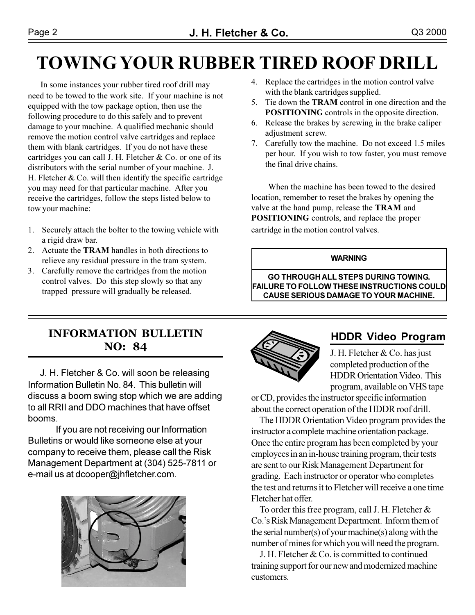### **TOWING YOUR RUBBER TIRED ROOF DRILL**

In some instances your rubber tired roof drill may need to be towed to the work site. If your machine is not equipped with the tow package option, then use the following procedure to do this safely and to prevent damage to your machine. A qualified mechanic should remove the motion control valve cartridges and replace them with blank cartridges. If you do not have these cartridges you can call J. H. Fletcher & Co. or one of its distributors with the serial number of your machine. J. H. Fletcher  $& Co.$  will then identify the specific cartridge you may need for that particular machine. After you receive the cartridges, follow the steps listed below to tow your machine:

- 1. Securely attach the bolter to the towing vehicle with a rigid draw bar.
- 2. Actuate the **TRAM** handles in both directions to relieve any residual pressure in the tram system.
- 3. Carefully remove the cartridges from the motion control valves. Do this step slowly so that any trapped pressure will gradually be released.
- 4. Replace the cartridges in the motion control valve with the blank cartridges supplied.
- 5. Tie down the **TRAM** control in one direction and the **POSITIONING** controls in the opposite direction.
- 6. Release the brakes by screwing in the brake caliper adjustment screw.
- 7. Carefully tow the machine. Do not exceed 1.5 miles per hour. If you wish to tow faster, you must remove the final drive chains.

When the machine has been towed to the desired location, remember to reset the brakes by opening the valve at the hand pump, release the TRAM and **POSITIONING** controls, and replace the proper cartridge in the motion control valves.

#### **WARNING**

**GO THROUGH ALL STEPS DURING TOWING. FAILURE TO FOLLOW THESE INSTRUCTIONS COULD CAUSE SERIOUS DAMAGE TO YOUR MACHINE.** 

#### **INFORMATION BULLETIN NO**: 84

J. H. Fletcher & Co. will soon be releasing Information Bulletin No. 84. This bulletin will discuss a boom swing stop which we are adding to all RRII and DDO machines that have offset booms.

If you are not receiving our Information Bulletins or would like someone else at your company to receive them, please call the Risk Management Department at (304) 525-7811 or e-mail us at dcooper@jhfletcher.com.





#### **HDDR Video Program**

J. H. Fletcher & Co. has just completed production of the **HDDR** Orientation Video. This program, available on VHS tape

or CD, provides the instructor specific information about the correct operation of the HDDR roof drill.

The HDDR Orientation Video program provides the instructor a complete machine orientation package. Once the entire program has been completed by your employees in an in-house training program, their tests are sent to our Risk Management Department for grading. Each instructor or operator who completes the test and returns it to Fletcher will receive a one time Fletcher hat offer

To order this free program, call J. H. Fletcher  $\&$ Co.'s Risk Management Department. Inform them of the serial number(s) of your machine(s) along with the number of mines for which you will need the program.

J. H. Fletcher & Co. is committed to continued training support for our new and modernized machine customers.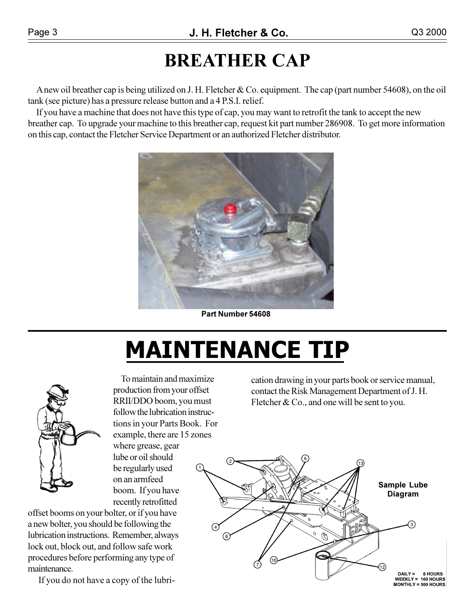### **BREATHER CAP**

A new oil breather cap is being utilized on J. H. Fletcher & Co. equipment. The cap (part number 54608), on the oil tank (see picture) has a pressure release button and a 4 P.S.I. relief.

If you have a machine that does not have this type of cap, you may want to retrofit the tank to accept the new breather cap. To upgrade your machine to this breather cap, request kit part number 286908. To get more information on this cap, contact the Fletcher Service Department or an authorized Fletcher distributor.



Part Number 54608

# **MAINTENANCE TIP**



To maintain and maximize production from your offset RRII/DDO boom, you must follow the lubrication instructions in your Parts Book. For example, there are 15 zones where grease, gear lube or oil should be regularly used on an armfeed boom. If you have recently retrofitted

offset booms on your bolter, or if you have a new bolter, you should be following the lubrication instructions. Remember, always lock out, block out, and follow safe work procedures before performing any type of maintenance.

If you do not have a copy of the lubri-

cation drawing in your parts book or service manual, contact the Risk Management Department of J.H. Fletcher  $& Co.,$  and one will be sent to you.